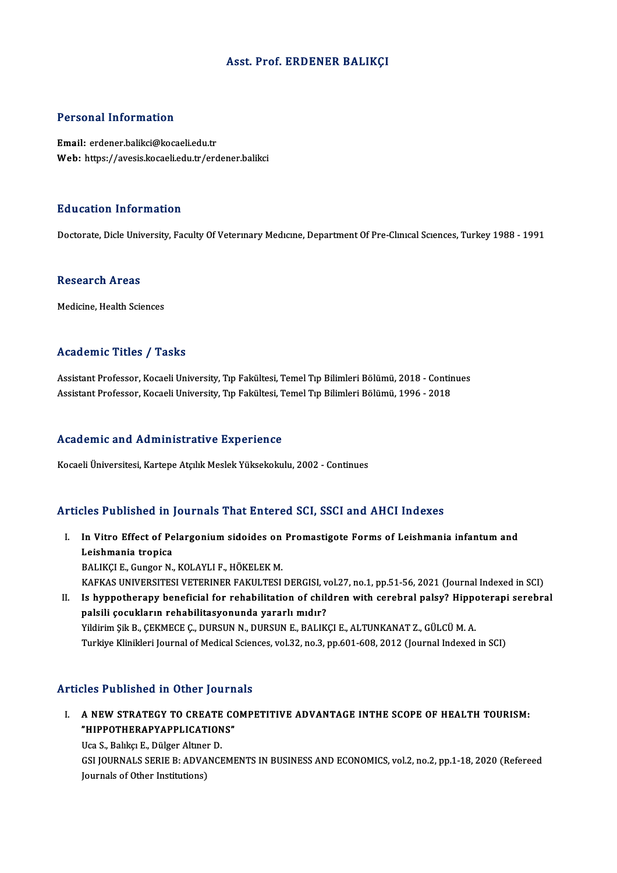# Asst. Prof. ERDENER BALIKÇI

## Personal Information

Email: erdener.balikci@kocaeli.edu.tr Web: https://avesis.kocaeli.edu.tr/erdener.balikci

#### Education Information

Doctorate, Dicle University, Faculty Of Veterinary Medicine, Department Of Pre-Clinical Sciences, Turkey 1988 - 1991

#### Research Areas

Medicine, Health Sciences

# Academic Titles / Tasks

Assistant Professor, Kocaeli University, Tıp Fakültesi, Temel Tıp Bilimleri Bölümü, 2018 - Continues AssistantProfessor,KocaeliUniversity,Tıp Fakültesi,TemelTıpBilimleriBölümü,1996 -2018

#### Academic and Administrative Experience

Kocaeli Üniversitesi, Kartepe Atçılık Meslek Yüksekokulu, 2002 - Continues

#### Articles Published in Journals That Entered SCI, SSCI and AHCI Indexes

rticles Published in Journals That Entered SCI, SSCI and AHCI Indexes<br>I. In Vitro Effect of Pelargonium sidoides on Promastigote Forms of Leishmania infantum and<br>I cichmania tranica Leishmania tropica<br>Leishmania tropica<br>BALIVCLE Gunger N In Vitro Effect of Pelargonium sidoides on<br>Leishmania tropica<br>BALIKÇI E., Gungor N., KOLAYLI F., HÖKELEK M.<br>KAEKAS UNIVERSITESI VETERINER FAKULTESI Leishmania tropica<br>BALIKÇI E., Gungor N., KOLAYLI F., HÖKELEK M.<br>KAFKAS UNIVERSITESI VETERINER FAKULTESI DERGISI, vol.27, no.1, pp.51-56, 2021 (Journal Indexed in SCI)<br>Is hynnethereny hanefisial for rebabilitation of sbild BALIKÇI E., Gungor N., KOLAYLI F., HÖKELEK M.<br>KAFKAS UNIVERSITESI VETERINER FAKULTESI DERGISI, vol.27, no.1, pp.51-56, 2021 (Journal Indexed in SCI)<br>II. Is hyppotherapy beneficial for rehabilitation of children with cerebr KAFKAS UNIVERSITESI VETERINER FAKULTESI DERGISI, v<br>Is hyppotherapy beneficial for rehabilitation of chili<br>palsili çocukların rehabilitasyonunda yararlı mıdır?<br><sup>Vildinim Sil B. CEKMECE C. DUBSIN N. DUBSIN E. BALIK</sub></sup>

Is hyppotherapy beneficial for rehabilitation of children with cerebral palsy? Hippo<br>palsili çocukların rehabilitasyonunda yararlı mıdır?<br>Yildirim Şik B., ÇEKMECE Ç., DURSUN N., DURSUN E., BALIKÇI E., ALTUNKANAT Z., GÜLCÜ palsili çocukların rehabilitasyonunda yararlı mıdır?<br>Yildirim Şik B., ÇEKMECE Ç., DURSUN N., DURSUN E., BALIKÇI E., ALTUNKANAT Z., GÜLCÜ M. A.<br>Turkiye Klinikleri Journal of Medical Sciences, vol.32, no.3, pp.601-608, 2012

# Articles Published in Other Journals

Turicles Published in Other Journals<br>I. A NEW STRATEGY TO CREATE COMPETITIVE ADVANTAGE INTHE SCOPE OF HEALTH TOURISM:<br>"HIPPOTHERARYARELICATIONS" A NEW STRATEGY TO CREATE CONTROLLER COMMENT<br>"HIPPOTHERAPYAPPLICATIONS"<br>He S. Bable: E. Dülser Altrer D. A NEW STRATEGY TO CREATE<br>"HIPPOTHERAPYAPPLICATION<br>Uca S., Balıkçı E., Dülger Altıner D.<br>CSLIQUPNALS SERIE B. ADVANCI **"HIPPOTHERAPYAPPLICATIONS"**<br>Uca S., Balıkçı E., Dülger Altıner D.<br>GSI JOURNALS SERIE B: ADVANCEMENTS IN BUSINESS AND ECONOMICS, vol.2, no.2, pp.1-18, 2020 (Refereed

Journals of Other Institutions)